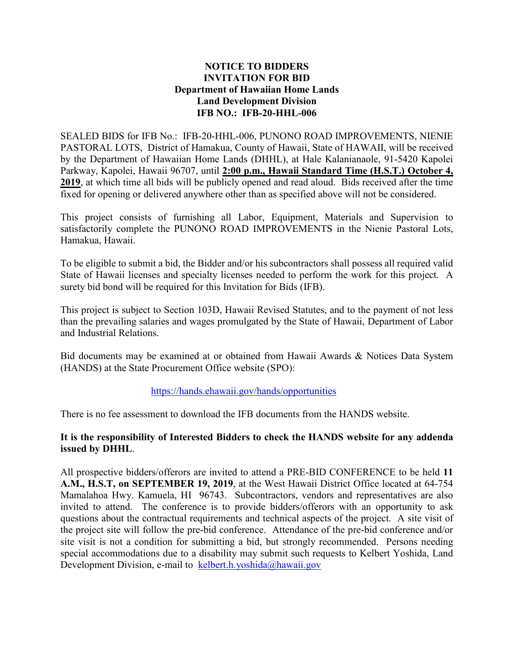## **NOTICE TO BIDDERS INVITATION FOR BID Department of Hawaiian Home Lands Land Development Division IFB NO.: IFB-20-HHL-006**

SEALED BIDS for IFB No.: IFB-20-HHL-006, PUNONO ROAD IMPROVEMENTS, NIENIE PASTORAL LOTS, District of Hamakua, County of Hawaii, State of HAWAII, will be received by the Department of Hawaiian Home Lands (DHHL), at Hale Kalanianaole, 91-5420 Kapolei Parkway, Kapolei, Hawaii 96707, until **2:00 p.m., Hawaii Standard Time (H.S.T.) October 4, 2019**, at which time all bids will be publicly opened and read aloud. Bids received after the time fixed for opening or delivered anywhere other than as specified above will not be considered.

This project consists of furnishing all Labor, Equipment, Materials and Supervision to satisfactorily complete the PUNONO ROAD IMPROVEMENTS in the Nienie Pastoral Lots, Hamakua, Hawaii.

To be eligible to submit a bid, the Bidder and/or his subcontractors shall possess all required valid State of Hawaii licenses and specialty licenses needed to perform the work for this project. A surety bid bond will be required for this Invitation for Bids (IFB).

This project is subject to Section 103D, Hawaii Revised Statutes, and to the payment of not less than the prevailing salaries and wages promulgated by the State of Hawaii, Department of Labor and Industrial Relations.

Bid documents may be examined at or obtained from Hawaii Awards & Notices Data System (HANDS) at the State Procurement Office website (SPO):

## <https://hands.ehawaii.gov/hands/opportunities>

There is no fee assessment to download the IFB documents from the HANDS website.

## **It is the responsibility of Interested Bidders to check the HANDS website for any addenda issued by DHHL**.

All prospective bidders/offerors are invited to attend a PRE-BID CONFERENCE to be held **11 A.M., H.S.T, on SEPTEMBER 19, 2019**, at the West Hawaii District Office located at 64-754 Mamalahoa Hwy. Kamuela, HI 96743. Subcontractors, vendors and representatives are also invited to attend. The conference is to provide bidders/offerors with an opportunity to ask questions about the contractual requirements and technical aspects of the project. A site visit of the project site will follow the pre-bid conference. Attendance of the pre-bid conference and/or site visit is not a condition for submitting a bid, but strongly recommended. Persons needing special accommodations due to a disability may submit such requests to Kelbert Yoshida, Land Development Division, e-mail to [kelbert.h.yoshida@hawaii.gov](mailto:kelbert.h.yoshida@hawaii.gov)